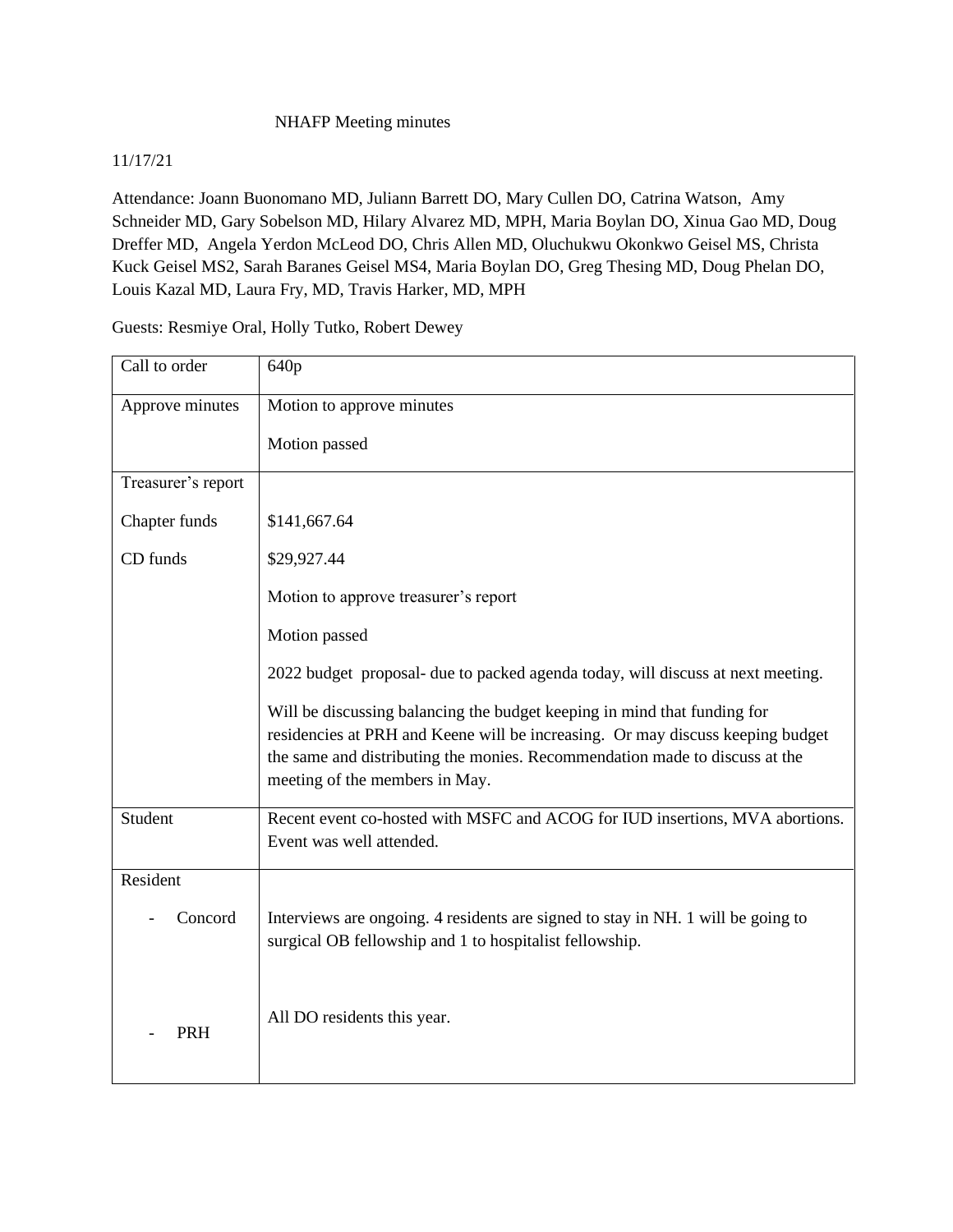## NHAFP Meeting minutes

## 11/17/21

Attendance: Joann Buonomano MD, Juliann Barrett DO, Mary Cullen DO, Catrina Watson, Amy Schneider MD, Gary Sobelson MD, Hilary Alvarez MD, MPH, Maria Boylan DO, Xinua Gao MD, Doug Dreffer MD, Angela Yerdon McLeod DO, Chris Allen MD, Oluchukwu Okonkwo Geisel MS, Christa Kuck Geisel MS2, Sarah Baranes Geisel MS4, Maria Boylan DO, Greg Thesing MD, Doug Phelan DO, Louis Kazal MD, Laura Fry, MD, Travis Harker, MD, MPH

| Call to order      | 640p                                                                                                                                                          |
|--------------------|---------------------------------------------------------------------------------------------------------------------------------------------------------------|
| Approve minutes    | Motion to approve minutes                                                                                                                                     |
|                    | Motion passed                                                                                                                                                 |
| Treasurer's report |                                                                                                                                                               |
| Chapter funds      | \$141,667.64                                                                                                                                                  |
| CD funds           | \$29,927.44                                                                                                                                                   |
|                    | Motion to approve treasurer's report                                                                                                                          |
|                    | Motion passed                                                                                                                                                 |
|                    | 2022 budget proposal- due to packed agenda today, will discuss at next meeting.                                                                               |
|                    | Will be discussing balancing the budget keeping in mind that funding for                                                                                      |
|                    | residencies at PRH and Keene will be increasing. Or may discuss keeping budget<br>the same and distributing the monies. Recommendation made to discuss at the |
|                    | meeting of the members in May.                                                                                                                                |
| Student            | Recent event co-hosted with MSFC and ACOG for IUD insertions, MVA abortions.<br>Event was well attended.                                                      |
| Resident           |                                                                                                                                                               |
| Concord            | Interviews are ongoing. 4 residents are signed to stay in NH. 1 will be going to<br>surgical OB fellowship and 1 to hospitalist fellowship.                   |
|                    |                                                                                                                                                               |
| <b>PRH</b>         | All DO residents this year.                                                                                                                                   |
|                    |                                                                                                                                                               |

Guests: Resmiye Oral, Holly Tutko, Robert Dewey